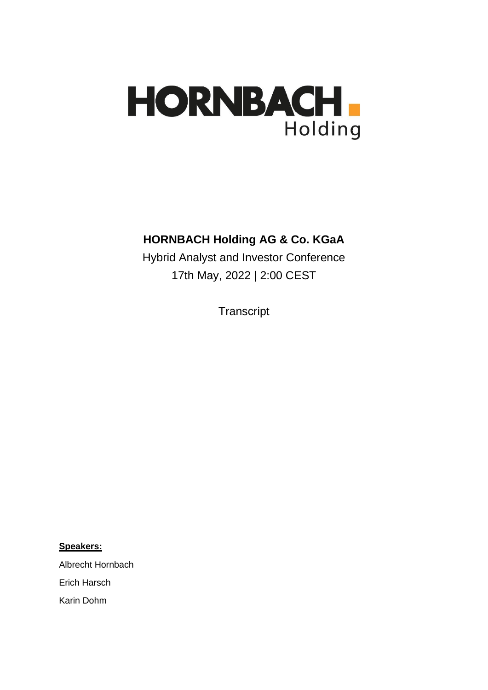

## **HORNBACH Holding AG & Co. KGaA**

Hybrid Analyst and Investor Conference 17th May, 2022 | 2:00 CEST

**Transcript** 

**Speakers:**

Albrecht Hornbach

Erich Harsch

Karin Dohm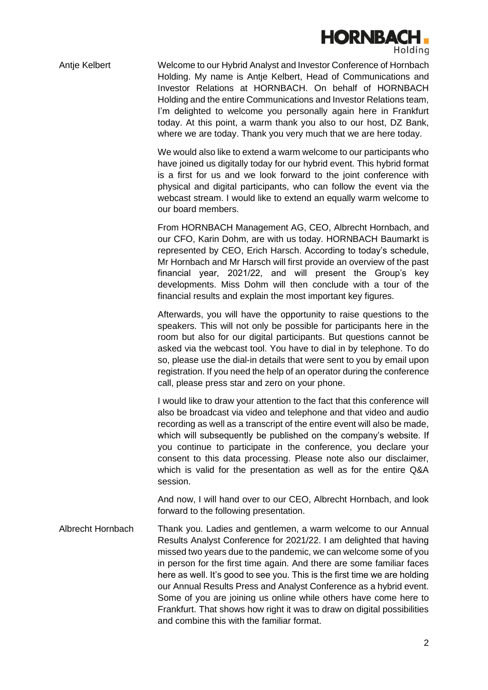

Antje Kelbert Welcome to our Hybrid Analyst and Investor Conference of Hornbach Holding. My name is Antje Kelbert, Head of Communications and Investor Relations at HORNBACH. On behalf of HORNBACH Holding and the entire Communications and Investor Relations team, I'm delighted to welcome you personally again here in Frankfurt today. At this point, a warm thank you also to our host, DZ Bank, where we are today. Thank you very much that we are here today.

> We would also like to extend a warm welcome to our participants who have joined us digitally today for our hybrid event. This hybrid format is a first for us and we look forward to the joint conference with physical and digital participants, who can follow the event via the webcast stream. I would like to extend an equally warm welcome to our board members.

> From HORNBACH Management AG, CEO, Albrecht Hornbach, and our CFO, Karin Dohm, are with us today. HORNBACH Baumarkt is represented by CEO, Erich Harsch. According to today's schedule, Mr Hornbach and Mr Harsch will first provide an overview of the past financial year, 2021/22, and will present the Group's key developments. Miss Dohm will then conclude with a tour of the financial results and explain the most important key figures.

> Afterwards, you will have the opportunity to raise questions to the speakers. This will not only be possible for participants here in the room but also for our digital participants. But questions cannot be asked via the webcast tool. You have to dial in by telephone. To do so, please use the dial-in details that were sent to you by email upon registration. If you need the help of an operator during the conference call, please press star and zero on your phone.

> I would like to draw your attention to the fact that this conference will also be broadcast via video and telephone and that video and audio recording as well as a transcript of the entire event will also be made, which will subsequently be published on the company's website. If you continue to participate in the conference, you declare your consent to this data processing. Please note also our disclaimer, which is valid for the presentation as well as for the entire Q&A session.

> And now, I will hand over to our CEO, Albrecht Hornbach, and look forward to the following presentation.

Albrecht Hornbach Thank you. Ladies and gentlemen, a warm welcome to our Annual Results Analyst Conference for 2021/22. I am delighted that having missed two years due to the pandemic, we can welcome some of you in person for the first time again. And there are some familiar faces here as well. It's good to see you. This is the first time we are holding our Annual Results Press and Analyst Conference as a hybrid event. Some of you are joining us online while others have come here to Frankfurt. That shows how right it was to draw on digital possibilities and combine this with the familiar format.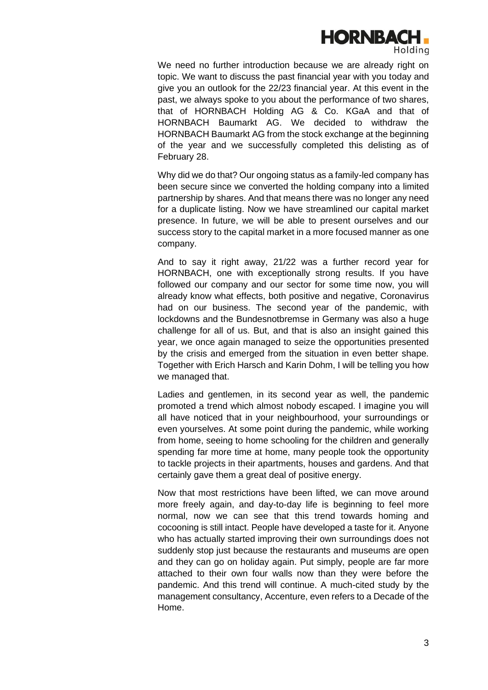

We need no further introduction because we are already right on topic. We want to discuss the past financial year with you today and give you an outlook for the 22/23 financial year. At this event in the past, we always spoke to you about the performance of two shares, that of HORNBACH Holding AG & Co. KGaA and that of HORNBACH Baumarkt AG. We decided to withdraw the HORNBACH Baumarkt AG from the stock exchange at the beginning of the year and we successfully completed this delisting as of February 28.

Why did we do that? Our ongoing status as a family-led company has been secure since we converted the holding company into a limited partnership by shares. And that means there was no longer any need for a duplicate listing. Now we have streamlined our capital market presence. In future, we will be able to present ourselves and our success story to the capital market in a more focused manner as one company.

And to say it right away, 21/22 was a further record year for HORNBACH, one with exceptionally strong results. If you have followed our company and our sector for some time now, you will already know what effects, both positive and negative, Coronavirus had on our business. The second year of the pandemic, with lockdowns and the Bundesnotbremse in Germany was also a huge challenge for all of us. But, and that is also an insight gained this year, we once again managed to seize the opportunities presented by the crisis and emerged from the situation in even better shape. Together with Erich Harsch and Karin Dohm, I will be telling you how we managed that.

Ladies and gentlemen, in its second year as well, the pandemic promoted a trend which almost nobody escaped. I imagine you will all have noticed that in your neighbourhood, your surroundings or even yourselves. At some point during the pandemic, while working from home, seeing to home schooling for the children and generally spending far more time at home, many people took the opportunity to tackle projects in their apartments, houses and gardens. And that certainly gave them a great deal of positive energy.

Now that most restrictions have been lifted, we can move around more freely again, and day-to-day life is beginning to feel more normal, now we can see that this trend towards homing and cocooning is still intact. People have developed a taste for it. Anyone who has actually started improving their own surroundings does not suddenly stop just because the restaurants and museums are open and they can go on holiday again. Put simply, people are far more attached to their own four walls now than they were before the pandemic. And this trend will continue. A much-cited study by the management consultancy, Accenture, even refers to a Decade of the Home.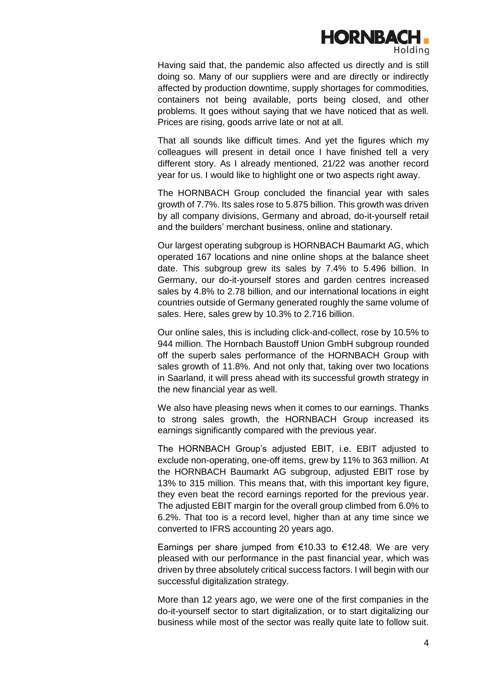

Having said that, the pandemic also affected us directly and is still doing so. Many of our suppliers were and are directly or indirectly affected by production downtime, supply shortages for commodities, containers not being available, ports being closed, and other problems. It goes without saying that we have noticed that as well. Prices are rising, goods arrive late or not at all.

That all sounds like difficult times. And yet the figures which my colleagues will present in detail once I have finished tell a very different story. As I already mentioned, 21/22 was another record year for us. I would like to highlight one or two aspects right away.

The HORNBACH Group concluded the financial year with sales growth of 7.7%. Its sales rose to 5.875 billion. This growth was driven by all company divisions, Germany and abroad, do-it-yourself retail and the builders' merchant business, online and stationary.

Our largest operating subgroup is HORNBACH Baumarkt AG, which operated 167 locations and nine online shops at the balance sheet date. This subgroup grew its sales by 7.4% to 5.496 billion. In Germany, our do-it-yourself stores and garden centres increased sales by 4.8% to 2.78 billion, and our international locations in eight countries outside of Germany generated roughly the same volume of sales. Here, sales grew by 10.3% to 2.716 billion.

Our online sales, this is including click-and-collect, rose by 10.5% to 944 million. The Hornbach Baustoff Union GmbH subgroup rounded off the superb sales performance of the HORNBACH Group with sales growth of 11.8%. And not only that, taking over two locations in Saarland, it will press ahead with its successful growth strategy in the new financial year as well.

We also have pleasing news when it comes to our earnings. Thanks to strong sales growth, the HORNBACH Group increased its earnings significantly compared with the previous year.

The HORNBACH Group's adjusted EBIT, i.e. EBIT adjusted to exclude non-operating, one-off items, grew by 11% to 363 million. At the HORNBACH Baumarkt AG subgroup, adjusted EBIT rose by 13% to 315 million. This means that, with this important key figure, they even beat the record earnings reported for the previous year. The adjusted EBIT margin for the overall group climbed from 6.0% to 6.2%. That too is a record level, higher than at any time since we converted to IFRS accounting 20 years ago.

Earnings per share jumped from €10.33 to €12.48. We are very pleased with our performance in the past financial year, which was driven by three absolutely critical success factors. I will begin with our successful digitalization strategy.

More than 12 years ago, we were one of the first companies in the do-it-yourself sector to start digitalization, or to start digitalizing our business while most of the sector was really quite late to follow suit.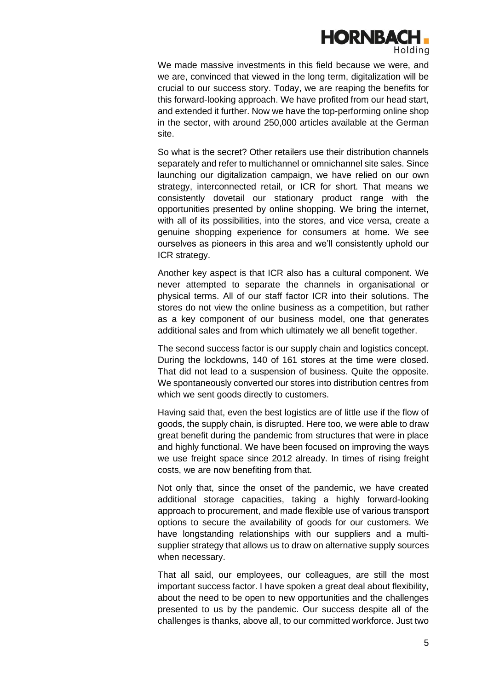

We made massive investments in this field because we were, and we are, convinced that viewed in the long term, digitalization will be crucial to our success story. Today, we are reaping the benefits for this forward-looking approach. We have profited from our head start, and extended it further. Now we have the top-performing online shop in the sector, with around 250,000 articles available at the German site.

So what is the secret? Other retailers use their distribution channels separately and refer to multichannel or omnichannel site sales. Since launching our digitalization campaign, we have relied on our own strategy, interconnected retail, or ICR for short. That means we consistently dovetail our stationary product range with the opportunities presented by online shopping. We bring the internet, with all of its possibilities, into the stores, and vice versa, create a genuine shopping experience for consumers at home. We see ourselves as pioneers in this area and we'll consistently uphold our ICR strategy.

Another key aspect is that ICR also has a cultural component. We never attempted to separate the channels in organisational or physical terms. All of our staff factor ICR into their solutions. The stores do not view the online business as a competition, but rather as a key component of our business model, one that generates additional sales and from which ultimately we all benefit together.

The second success factor is our supply chain and logistics concept. During the lockdowns, 140 of 161 stores at the time were closed. That did not lead to a suspension of business. Quite the opposite. We spontaneously converted our stores into distribution centres from which we sent goods directly to customers.

Having said that, even the best logistics are of little use if the flow of goods, the supply chain, is disrupted. Here too, we were able to draw great benefit during the pandemic from structures that were in place and highly functional. We have been focused on improving the ways we use freight space since 2012 already. In times of rising freight costs, we are now benefiting from that.

Not only that, since the onset of the pandemic, we have created additional storage capacities, taking a highly forward-looking approach to procurement, and made flexible use of various transport options to secure the availability of goods for our customers. We have longstanding relationships with our suppliers and a multisupplier strategy that allows us to draw on alternative supply sources when necessary.

That all said, our employees, our colleagues, are still the most important success factor. I have spoken a great deal about flexibility, about the need to be open to new opportunities and the challenges presented to us by the pandemic. Our success despite all of the challenges is thanks, above all, to our committed workforce. Just two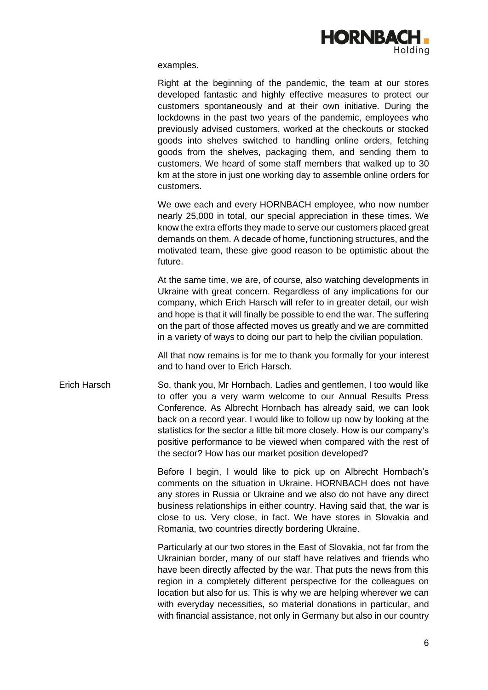

examples.

Right at the beginning of the pandemic, the team at our stores developed fantastic and highly effective measures to protect our customers spontaneously and at their own initiative. During the lockdowns in the past two years of the pandemic, employees who previously advised customers, worked at the checkouts or stocked goods into shelves switched to handling online orders, fetching goods from the shelves, packaging them, and sending them to customers. We heard of some staff members that walked up to 30 km at the store in just one working day to assemble online orders for customers.

We owe each and every HORNBACH employee, who now number nearly 25,000 in total, our special appreciation in these times. We know the extra efforts they made to serve our customers placed great demands on them. A decade of home, functioning structures, and the motivated team, these give good reason to be optimistic about the future.

At the same time, we are, of course, also watching developments in Ukraine with great concern. Regardless of any implications for our company, which Erich Harsch will refer to in greater detail, our wish and hope is that it will finally be possible to end the war. The suffering on the part of those affected moves us greatly and we are committed in a variety of ways to doing our part to help the civilian population.

All that now remains is for me to thank you formally for your interest and to hand over to Erich Harsch.

Erich Harsch So, thank you, Mr Hornbach. Ladies and gentlemen, I too would like to offer you a very warm welcome to our Annual Results Press Conference. As Albrecht Hornbach has already said, we can look back on a record year. I would like to follow up now by looking at the statistics for the sector a little bit more closely. How is our company's positive performance to be viewed when compared with the rest of the sector? How has our market position developed?

> Before I begin, I would like to pick up on Albrecht Hornbach's comments on the situation in Ukraine. HORNBACH does not have any stores in Russia or Ukraine and we also do not have any direct business relationships in either country. Having said that, the war is close to us. Very close, in fact. We have stores in Slovakia and Romania, two countries directly bordering Ukraine.

> Particularly at our two stores in the East of Slovakia, not far from the Ukrainian border, many of our staff have relatives and friends who have been directly affected by the war. That puts the news from this region in a completely different perspective for the colleagues on location but also for us. This is why we are helping wherever we can with everyday necessities, so material donations in particular, and with financial assistance, not only in Germany but also in our country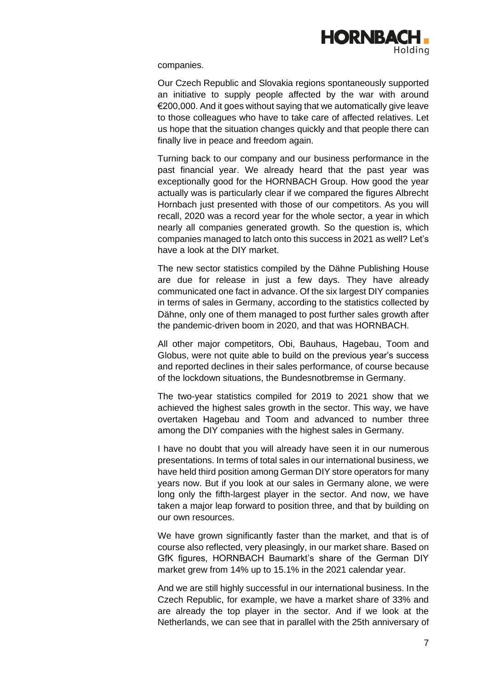

companies.

Our Czech Republic and Slovakia regions spontaneously supported an initiative to supply people affected by the war with around €200,000. And it goes without saying that we automatically give leave to those colleagues who have to take care of affected relatives. Let us hope that the situation changes quickly and that people there can finally live in peace and freedom again.

Turning back to our company and our business performance in the past financial year. We already heard that the past year was exceptionally good for the HORNBACH Group. How good the year actually was is particularly clear if we compared the figures Albrecht Hornbach just presented with those of our competitors. As you will recall, 2020 was a record year for the whole sector, a year in which nearly all companies generated growth. So the question is, which companies managed to latch onto this success in 2021 as well? Let's have a look at the DIY market.

The new sector statistics compiled by the Dähne Publishing House are due for release in just a few days. They have already communicated one fact in advance. Of the six largest DIY companies in terms of sales in Germany, according to the statistics collected by Dähne, only one of them managed to post further sales growth after the pandemic-driven boom in 2020, and that was HORNBACH.

All other major competitors, Obi, Bauhaus, Hagebau, Toom and Globus, were not quite able to build on the previous year's success and reported declines in their sales performance, of course because of the lockdown situations, the Bundesnotbremse in Germany.

The two-year statistics compiled for 2019 to 2021 show that we achieved the highest sales growth in the sector. This way, we have overtaken Hagebau and Toom and advanced to number three among the DIY companies with the highest sales in Germany.

I have no doubt that you will already have seen it in our numerous presentations. In terms of total sales in our international business, we have held third position among German DIY store operators for many years now. But if you look at our sales in Germany alone, we were long only the fifth-largest player in the sector. And now, we have taken a major leap forward to position three, and that by building on our own resources.

We have grown significantly faster than the market, and that is of course also reflected, very pleasingly, in our market share. Based on GfK figures, HORNBACH Baumarkt's share of the German DIY market grew from 14% up to 15.1% in the 2021 calendar year.

And we are still highly successful in our international business. In the Czech Republic, for example, we have a market share of 33% and are already the top player in the sector. And if we look at the Netherlands, we can see that in parallel with the 25th anniversary of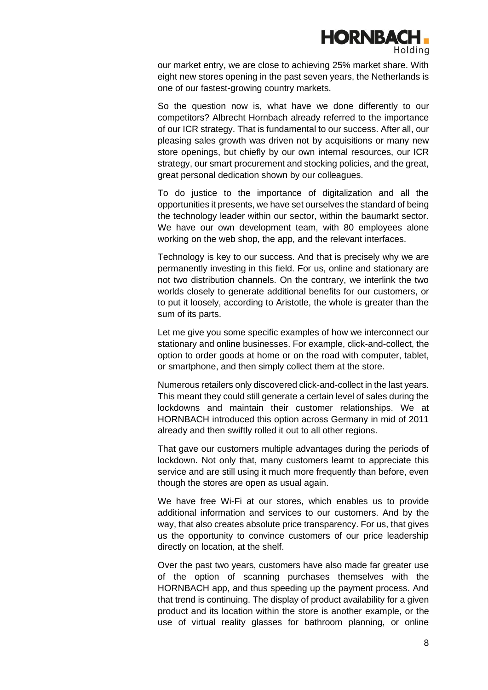

our market entry, we are close to achieving 25% market share. With eight new stores opening in the past seven years, the Netherlands is one of our fastest-growing country markets.

So the question now is, what have we done differently to our competitors? Albrecht Hornbach already referred to the importance of our ICR strategy. That is fundamental to our success. After all, our pleasing sales growth was driven not by acquisitions or many new store openings, but chiefly by our own internal resources, our ICR strategy, our smart procurement and stocking policies, and the great, great personal dedication shown by our colleagues.

To do justice to the importance of digitalization and all the opportunities it presents, we have set ourselves the standard of being the technology leader within our sector, within the baumarkt sector. We have our own development team, with 80 employees alone working on the web shop, the app, and the relevant interfaces.

Technology is key to our success. And that is precisely why we are permanently investing in this field. For us, online and stationary are not two distribution channels. On the contrary, we interlink the two worlds closely to generate additional benefits for our customers, or to put it loosely, according to Aristotle, the whole is greater than the sum of its parts.

Let me give you some specific examples of how we interconnect our stationary and online businesses. For example, click-and-collect, the option to order goods at home or on the road with computer, tablet, or smartphone, and then simply collect them at the store.

Numerous retailers only discovered click-and-collect in the last years. This meant they could still generate a certain level of sales during the lockdowns and maintain their customer relationships. We at HORNBACH introduced this option across Germany in mid of 2011 already and then swiftly rolled it out to all other regions.

That gave our customers multiple advantages during the periods of lockdown. Not only that, many customers learnt to appreciate this service and are still using it much more frequently than before, even though the stores are open as usual again.

We have free Wi-Fi at our stores, which enables us to provide additional information and services to our customers. And by the way, that also creates absolute price transparency. For us, that gives us the opportunity to convince customers of our price leadership directly on location, at the shelf.

Over the past two years, customers have also made far greater use of the option of scanning purchases themselves with the HORNBACH app, and thus speeding up the payment process. And that trend is continuing. The display of product availability for a given product and its location within the store is another example, or the use of virtual reality glasses for bathroom planning, or online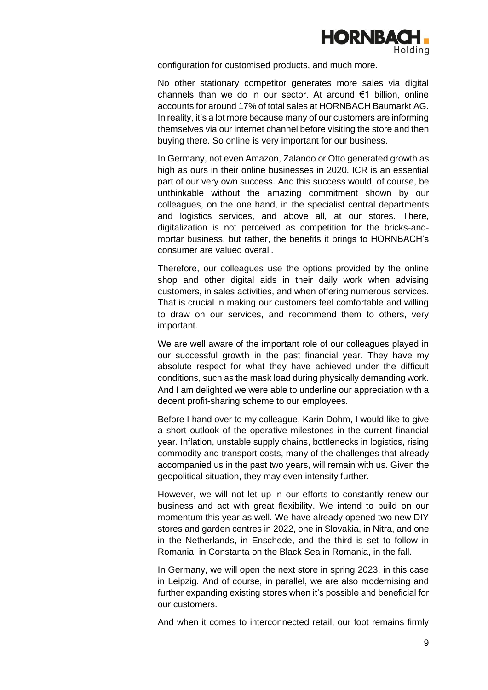

configuration for customised products, and much more.

No other stationary competitor generates more sales via digital channels than we do in our sector. At around €1 billion, online accounts for around 17% of total sales at HORNBACH Baumarkt AG. In reality, it's a lot more because many of our customers are informing themselves via our internet channel before visiting the store and then buying there. So online is very important for our business.

In Germany, not even Amazon, Zalando or Otto generated growth as high as ours in their online businesses in 2020. ICR is an essential part of our very own success. And this success would, of course, be unthinkable without the amazing commitment shown by our colleagues, on the one hand, in the specialist central departments and logistics services, and above all, at our stores. There, digitalization is not perceived as competition for the bricks-andmortar business, but rather, the benefits it brings to HORNBACH's consumer are valued overall.

Therefore, our colleagues use the options provided by the online shop and other digital aids in their daily work when advising customers, in sales activities, and when offering numerous services. That is crucial in making our customers feel comfortable and willing to draw on our services, and recommend them to others, very important.

We are well aware of the important role of our colleagues played in our successful growth in the past financial year. They have my absolute respect for what they have achieved under the difficult conditions, such as the mask load during physically demanding work. And I am delighted we were able to underline our appreciation with a decent profit-sharing scheme to our employees.

Before I hand over to my colleague, Karin Dohm, I would like to give a short outlook of the operative milestones in the current financial year. Inflation, unstable supply chains, bottlenecks in logistics, rising commodity and transport costs, many of the challenges that already accompanied us in the past two years, will remain with us. Given the geopolitical situation, they may even intensity further.

However, we will not let up in our efforts to constantly renew our business and act with great flexibility. We intend to build on our momentum this year as well. We have already opened two new DIY stores and garden centres in 2022, one in Slovakia, in Nitra, and one in the Netherlands, in Enschede, and the third is set to follow in Romania, in Constanta on the Black Sea in Romania, in the fall.

In Germany, we will open the next store in spring 2023, in this case in Leipzig. And of course, in parallel, we are also modernising and further expanding existing stores when it's possible and beneficial for our customers.

And when it comes to interconnected retail, our foot remains firmly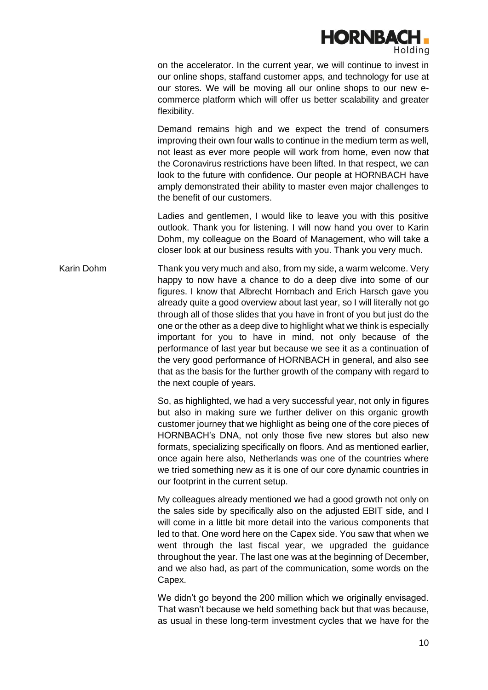

on the accelerator. In the current year, we will continue to invest in our online shops, staffand customer apps, and technology for use at our stores. We will be moving all our online shops to our new ecommerce platform which will offer us better scalability and greater flexibility.

Demand remains high and we expect the trend of consumers improving their own four walls to continue in the medium term as well, not least as ever more people will work from home, even now that the Coronavirus restrictions have been lifted. In that respect, we can look to the future with confidence. Our people at HORNBACH have amply demonstrated their ability to master even major challenges to the benefit of our customers.

Ladies and gentlemen, I would like to leave you with this positive outlook. Thank you for listening. I will now hand you over to Karin Dohm, my colleague on the Board of Management, who will take a closer look at our business results with you. Thank you very much.

Karin Dohm Thank you very much and also, from my side, a warm welcome. Very happy to now have a chance to do a deep dive into some of our figures. I know that Albrecht Hornbach and Erich Harsch gave you already quite a good overview about last year, so I will literally not go through all of those slides that you have in front of you but just do the one or the other as a deep dive to highlight what we think is especially important for you to have in mind, not only because of the performance of last year but because we see it as a continuation of the very good performance of HORNBACH in general, and also see that as the basis for the further growth of the company with regard to the next couple of years.

> So, as highlighted, we had a very successful year, not only in figures but also in making sure we further deliver on this organic growth customer journey that we highlight as being one of the core pieces of HORNBACH's DNA, not only those five new stores but also new formats, specializing specifically on floors. And as mentioned earlier, once again here also, Netherlands was one of the countries where we tried something new as it is one of our core dynamic countries in our footprint in the current setup.

> My colleagues already mentioned we had a good growth not only on the sales side by specifically also on the adjusted EBIT side, and I will come in a little bit more detail into the various components that led to that. One word here on the Capex side. You saw that when we went through the last fiscal year, we upgraded the guidance throughout the year. The last one was at the beginning of December, and we also had, as part of the communication, some words on the Capex.

> We didn't go beyond the 200 million which we originally envisaged. That wasn't because we held something back but that was because, as usual in these long-term investment cycles that we have for the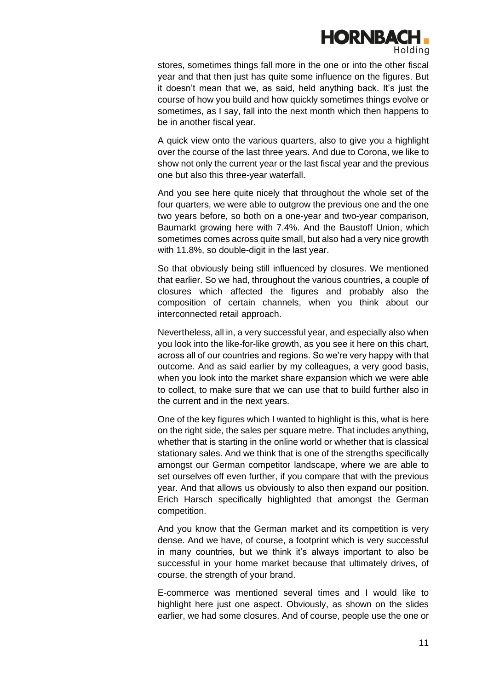

stores, sometimes things fall more in the one or into the other fiscal year and that then just has quite some influence on the figures. But it doesn't mean that we, as said, held anything back. It's just the course of how you build and how quickly sometimes things evolve or sometimes, as I say, fall into the next month which then happens to be in another fiscal year.

A quick view onto the various quarters, also to give you a highlight over the course of the last three years. And due to Corona, we like to show not only the current year or the last fiscal year and the previous one but also this three-year waterfall.

And you see here quite nicely that throughout the whole set of the four quarters, we were able to outgrow the previous one and the one two years before, so both on a one-year and two-year comparison, Baumarkt growing here with 7.4%. And the Baustoff Union, which sometimes comes across quite small, but also had a very nice growth with 11.8%, so double-digit in the last year.

So that obviously being still influenced by closures. We mentioned that earlier. So we had, throughout the various countries, a couple of closures which affected the figures and probably also the composition of certain channels, when you think about our interconnected retail approach.

Nevertheless, all in, a very successful year, and especially also when you look into the like-for-like growth, as you see it here on this chart, across all of our countries and regions. So we're very happy with that outcome. And as said earlier by my colleagues, a very good basis, when you look into the market share expansion which we were able to collect, to make sure that we can use that to build further also in the current and in the next years.

One of the key figures which I wanted to highlight is this, what is here on the right side, the sales per square metre. That includes anything, whether that is starting in the online world or whether that is classical stationary sales. And we think that is one of the strengths specifically amongst our German competitor landscape, where we are able to set ourselves off even further, if you compare that with the previous year. And that allows us obviously to also then expand our position. Erich Harsch specifically highlighted that amongst the German competition.

And you know that the German market and its competition is very dense. And we have, of course, a footprint which is very successful in many countries, but we think it's always important to also be successful in your home market because that ultimately drives, of course, the strength of your brand.

E-commerce was mentioned several times and I would like to highlight here just one aspect. Obviously, as shown on the slides earlier, we had some closures. And of course, people use the one or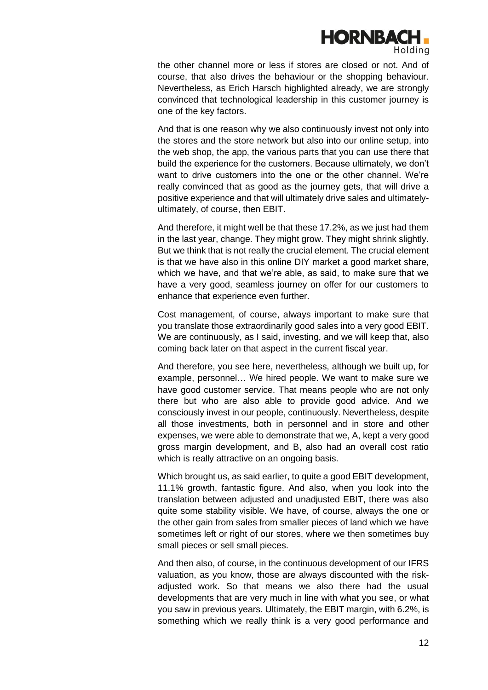

the other channel more or less if stores are closed or not. And of course, that also drives the behaviour or the shopping behaviour. Nevertheless, as Erich Harsch highlighted already, we are strongly convinced that technological leadership in this customer journey is one of the key factors.

And that is one reason why we also continuously invest not only into the stores and the store network but also into our online setup, into the web shop, the app, the various parts that you can use there that build the experience for the customers. Because ultimately, we don't want to drive customers into the one or the other channel. We're really convinced that as good as the journey gets, that will drive a positive experience and that will ultimately drive sales and ultimatelyultimately, of course, then EBIT.

And therefore, it might well be that these 17.2%, as we just had them in the last year, change. They might grow. They might shrink slightly. But we think that is not really the crucial element. The crucial element is that we have also in this online DIY market a good market share, which we have, and that we're able, as said, to make sure that we have a very good, seamless journey on offer for our customers to enhance that experience even further.

Cost management, of course, always important to make sure that you translate those extraordinarily good sales into a very good EBIT. We are continuously, as I said, investing, and we will keep that, also coming back later on that aspect in the current fiscal year.

And therefore, you see here, nevertheless, although we built up, for example, personnel… We hired people. We want to make sure we have good customer service. That means people who are not only there but who are also able to provide good advice. And we consciously invest in our people, continuously. Nevertheless, despite all those investments, both in personnel and in store and other expenses, we were able to demonstrate that we, A, kept a very good gross margin development, and B, also had an overall cost ratio which is really attractive on an ongoing basis.

Which brought us, as said earlier, to quite a good EBIT development, 11.1% growth, fantastic figure. And also, when you look into the translation between adjusted and unadjusted EBIT, there was also quite some stability visible. We have, of course, always the one or the other gain from sales from smaller pieces of land which we have sometimes left or right of our stores, where we then sometimes buy small pieces or sell small pieces.

And then also, of course, in the continuous development of our IFRS valuation, as you know, those are always discounted with the riskadjusted work. So that means we also there had the usual developments that are very much in line with what you see, or what you saw in previous years. Ultimately, the EBIT margin, with 6.2%, is something which we really think is a very good performance and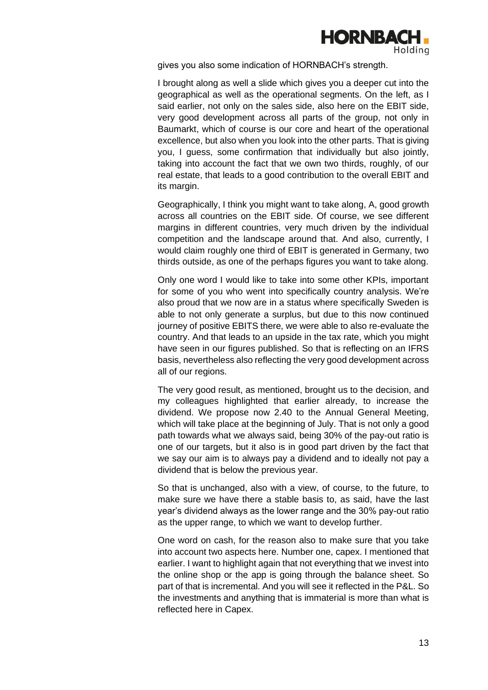

gives you also some indication of HORNBACH's strength.

I brought along as well a slide which gives you a deeper cut into the geographical as well as the operational segments. On the left, as I said earlier, not only on the sales side, also here on the EBIT side, very good development across all parts of the group, not only in Baumarkt, which of course is our core and heart of the operational excellence, but also when you look into the other parts. That is giving you, I guess, some confirmation that individually but also jointly, taking into account the fact that we own two thirds, roughly, of our real estate, that leads to a good contribution to the overall EBIT and its margin.

Geographically, I think you might want to take along, A, good growth across all countries on the EBIT side. Of course, we see different margins in different countries, very much driven by the individual competition and the landscape around that. And also, currently, I would claim roughly one third of EBIT is generated in Germany, two thirds outside, as one of the perhaps figures you want to take along.

Only one word I would like to take into some other KPIs, important for some of you who went into specifically country analysis. We're also proud that we now are in a status where specifically Sweden is able to not only generate a surplus, but due to this now continued journey of positive EBITS there, we were able to also re-evaluate the country. And that leads to an upside in the tax rate, which you might have seen in our figures published. So that is reflecting on an IFRS basis, nevertheless also reflecting the very good development across all of our regions.

The very good result, as mentioned, brought us to the decision, and my colleagues highlighted that earlier already, to increase the dividend. We propose now 2.40 to the Annual General Meeting, which will take place at the beginning of July. That is not only a good path towards what we always said, being 30% of the pay-out ratio is one of our targets, but it also is in good part driven by the fact that we say our aim is to always pay a dividend and to ideally not pay a dividend that is below the previous year.

So that is unchanged, also with a view, of course, to the future, to make sure we have there a stable basis to, as said, have the last year's dividend always as the lower range and the 30% pay-out ratio as the upper range, to which we want to develop further.

One word on cash, for the reason also to make sure that you take into account two aspects here. Number one, capex. I mentioned that earlier. I want to highlight again that not everything that we invest into the online shop or the app is going through the balance sheet. So part of that is incremental. And you will see it reflected in the P&L. So the investments and anything that is immaterial is more than what is reflected here in Capex.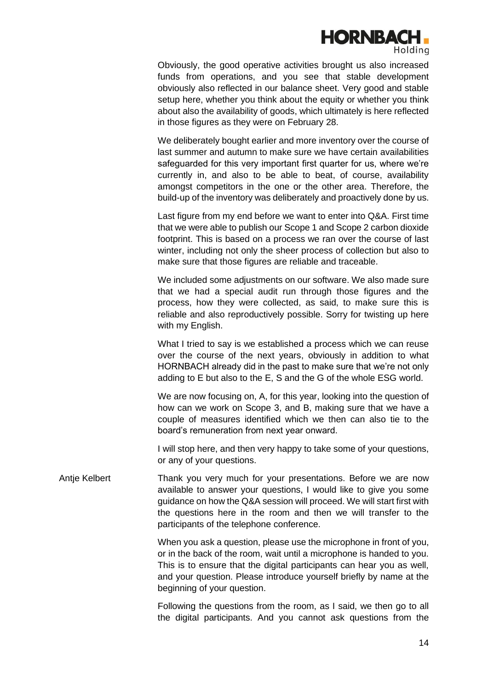

Obviously, the good operative activities brought us also increased funds from operations, and you see that stable development obviously also reflected in our balance sheet. Very good and stable setup here, whether you think about the equity or whether you think about also the availability of goods, which ultimately is here reflected in those figures as they were on February 28.

We deliberately bought earlier and more inventory over the course of last summer and autumn to make sure we have certain availabilities safeguarded for this very important first quarter for us, where we're currently in, and also to be able to beat, of course, availability amongst competitors in the one or the other area. Therefore, the build-up of the inventory was deliberately and proactively done by us.

Last figure from my end before we want to enter into Q&A. First time that we were able to publish our Scope 1 and Scope 2 carbon dioxide footprint. This is based on a process we ran over the course of last winter, including not only the sheer process of collection but also to make sure that those figures are reliable and traceable.

We included some adjustments on our software. We also made sure that we had a special audit run through those figures and the process, how they were collected, as said, to make sure this is reliable and also reproductively possible. Sorry for twisting up here with my English.

What I tried to say is we established a process which we can reuse over the course of the next years, obviously in addition to what HORNBACH already did in the past to make sure that we're not only adding to E but also to the E, S and the G of the whole ESG world.

We are now focusing on, A, for this year, looking into the question of how can we work on Scope 3, and B, making sure that we have a couple of measures identified which we then can also tie to the board's remuneration from next year onward.

I will stop here, and then very happy to take some of your questions, or any of your questions.

Antje Kelbert Thank you very much for your presentations. Before we are now available to answer your questions, I would like to give you some guidance on how the Q&A session will proceed. We will start first with the questions here in the room and then we will transfer to the participants of the telephone conference.

> When you ask a question, please use the microphone in front of you, or in the back of the room, wait until a microphone is handed to you. This is to ensure that the digital participants can hear you as well, and your question. Please introduce yourself briefly by name at the beginning of your question.

> Following the questions from the room, as I said, we then go to all the digital participants. And you cannot ask questions from the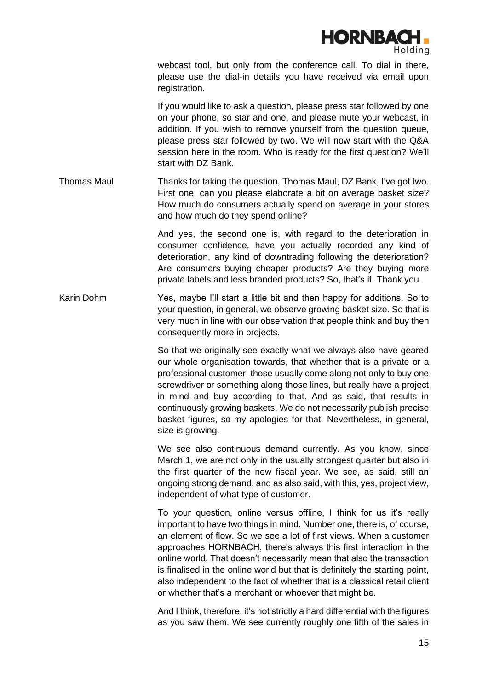

webcast tool, but only from the conference call. To dial in there, please use the dial-in details you have received via email upon registration.

If you would like to ask a question, please press star followed by one on your phone, so star and one, and please mute your webcast, in addition. If you wish to remove yourself from the question queue, please press star followed by two. We will now start with the Q&A session here in the room. Who is ready for the first question? We'll start with DZ Bank.

Thomas Maul Thanks for taking the question, Thomas Maul, DZ Bank, I've got two. First one, can you please elaborate a bit on average basket size? How much do consumers actually spend on average in your stores and how much do they spend online?

> And yes, the second one is, with regard to the deterioration in consumer confidence, have you actually recorded any kind of deterioration, any kind of downtrading following the deterioration? Are consumers buying cheaper products? Are they buying more private labels and less branded products? So, that's it. Thank you.

Karin Dohm Yes, maybe I'll start a little bit and then happy for additions. So to your question, in general, we observe growing basket size. So that is very much in line with our observation that people think and buy then consequently more in projects.

> So that we originally see exactly what we always also have geared our whole organisation towards, that whether that is a private or a professional customer, those usually come along not only to buy one screwdriver or something along those lines, but really have a project in mind and buy according to that. And as said, that results in continuously growing baskets. We do not necessarily publish precise basket figures, so my apologies for that. Nevertheless, in general, size is growing.

> We see also continuous demand currently. As you know, since March 1, we are not only in the usually strongest quarter but also in the first quarter of the new fiscal year. We see, as said, still an ongoing strong demand, and as also said, with this, yes, project view, independent of what type of customer.

> To your question, online versus offline, I think for us it's really important to have two things in mind. Number one, there is, of course, an element of flow. So we see a lot of first views. When a customer approaches HORNBACH, there's always this first interaction in the online world. That doesn't necessarily mean that also the transaction is finalised in the online world but that is definitely the starting point, also independent to the fact of whether that is a classical retail client or whether that's a merchant or whoever that might be.

> And I think, therefore, it's not strictly a hard differential with the figures as you saw them. We see currently roughly one fifth of the sales in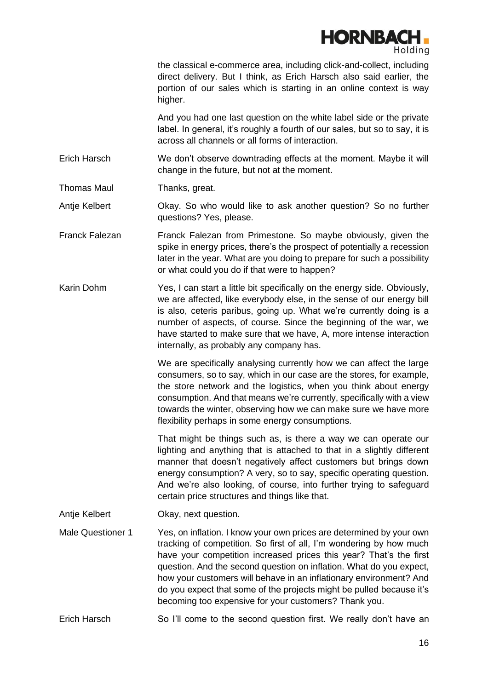

the classical e-commerce area, including click-and-collect, including direct delivery. But I think, as Erich Harsch also said earlier, the portion of our sales which is starting in an online context is way higher.

And you had one last question on the white label side or the private label. In general, it's roughly a fourth of our sales, but so to say, it is across all channels or all forms of interaction.

Erich Harsch We don't observe downtrading effects at the moment. Maybe it will change in the future, but not at the moment.

Thomas Maul Thanks, great.

Antje Kelbert **Okay.** So who would like to ask another question? So no further questions? Yes, please.

- Franck Falezan Franck Falezan from Primestone. So maybe obviously, given the spike in energy prices, there's the prospect of potentially a recession later in the year. What are you doing to prepare for such a possibility or what could you do if that were to happen?
- Karin Dohm Yes, I can start a little bit specifically on the energy side. Obviously, we are affected, like everybody else, in the sense of our energy bill is also, ceteris paribus, going up. What we're currently doing is a number of aspects, of course. Since the beginning of the war, we have started to make sure that we have, A, more intense interaction internally, as probably any company has.

We are specifically analysing currently how we can affect the large consumers, so to say, which in our case are the stores, for example, the store network and the logistics, when you think about energy consumption. And that means we're currently, specifically with a view towards the winter, observing how we can make sure we have more flexibility perhaps in some energy consumptions.

That might be things such as, is there a way we can operate our lighting and anything that is attached to that in a slightly different manner that doesn't negatively affect customers but brings down energy consumption? A very, so to say, specific operating question. And we're also looking, of course, into further trying to safeguard certain price structures and things like that.

- Antie Kelbert **Okay**, next question.
- Male Questioner 1 Yes, on inflation. I know your own prices are determined by your own tracking of competition. So first of all, I'm wondering by how much have your competition increased prices this year? That's the first question. And the second question on inflation. What do you expect, how your customers will behave in an inflationary environment? And do you expect that some of the projects might be pulled because it's becoming too expensive for your customers? Thank you.
- Erich Harsch So I'll come to the second question first. We really don't have an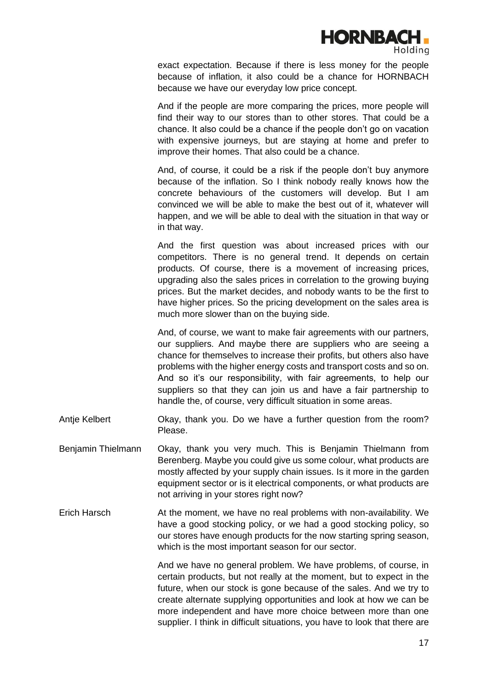

exact expectation. Because if there is less money for the people because of inflation, it also could be a chance for HORNBACH because we have our everyday low price concept.

And if the people are more comparing the prices, more people will find their way to our stores than to other stores. That could be a chance. It also could be a chance if the people don't go on vacation with expensive journeys, but are staying at home and prefer to improve their homes. That also could be a chance.

And, of course, it could be a risk if the people don't buy anymore because of the inflation. So I think nobody really knows how the concrete behaviours of the customers will develop. But I am convinced we will be able to make the best out of it, whatever will happen, and we will be able to deal with the situation in that way or in that way.

And the first question was about increased prices with our competitors. There is no general trend. It depends on certain products. Of course, there is a movement of increasing prices, upgrading also the sales prices in correlation to the growing buying prices. But the market decides, and nobody wants to be the first to have higher prices. So the pricing development on the sales area is much more slower than on the buying side.

And, of course, we want to make fair agreements with our partners, our suppliers. And maybe there are suppliers who are seeing a chance for themselves to increase their profits, but others also have problems with the higher energy costs and transport costs and so on. And so it's our responsibility, with fair agreements, to help our suppliers so that they can join us and have a fair partnership to handle the, of course, very difficult situation in some areas.

- Antie Kelbert **Okay, thank you. Do we have a further question from the room?** Please.
- Benjamin Thielmann Okay, thank you very much. This is Benjamin Thielmann from Berenberg. Maybe you could give us some colour, what products are mostly affected by your supply chain issues. Is it more in the garden equipment sector or is it electrical components, or what products are not arriving in your stores right now?
- Erich Harsch At the moment, we have no real problems with non-availability. We have a good stocking policy, or we had a good stocking policy, so our stores have enough products for the now starting spring season, which is the most important season for our sector.

And we have no general problem. We have problems, of course, in certain products, but not really at the moment, but to expect in the future, when our stock is gone because of the sales. And we try to create alternate supplying opportunities and look at how we can be more independent and have more choice between more than one supplier. I think in difficult situations, you have to look that there are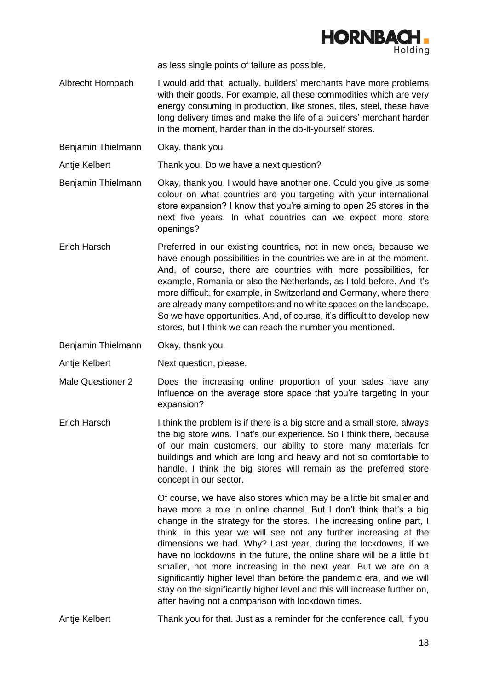

as less single points of failure as possible.

- Albrecht Hornbach I would add that, actually, builders' merchants have more problems with their goods. For example, all these commodities which are very energy consuming in production, like stones, tiles, steel, these have long delivery times and make the life of a builders' merchant harder in the moment, harder than in the do-it-yourself stores.
- Benjamin Thielmann Okay, thank you.

Antje Kelbert Thank you. Do we have a next question?

- Benjamin Thielmann Okay, thank you. I would have another one. Could you give us some colour on what countries are you targeting with your international store expansion? I know that you're aiming to open 25 stores in the next five years. In what countries can we expect more store openings?
- Erich Harsch Preferred in our existing countries, not in new ones, because we have enough possibilities in the countries we are in at the moment. And, of course, there are countries with more possibilities, for example, Romania or also the Netherlands, as I told before. And it's more difficult, for example, in Switzerland and Germany, where there are already many competitors and no white spaces on the landscape. So we have opportunities. And, of course, it's difficult to develop new stores, but I think we can reach the number you mentioned.
- Benjamin Thielmann Okay, thank you.
- Antie Kelbert Next question, please.
- Male Questioner 2 Does the increasing online proportion of your sales have any influence on the average store space that you're targeting in your expansion?
- Erich Harsch I think the problem is if there is a big store and a small store, always the big store wins. That's our experience. So I think there, because of our main customers, our ability to store many materials for buildings and which are long and heavy and not so comfortable to handle, I think the big stores will remain as the preferred store concept in our sector.

Of course, we have also stores which may be a little bit smaller and have more a role in online channel. But I don't think that's a big change in the strategy for the stores. The increasing online part, I think, in this year we will see not any further increasing at the dimensions we had. Why? Last year, during the lockdowns, if we have no lockdowns in the future, the online share will be a little bit smaller, not more increasing in the next year. But we are on a significantly higher level than before the pandemic era, and we will stay on the significantly higher level and this will increase further on, after having not a comparison with lockdown times.

Antie Kelbert Thank you for that. Just as a reminder for the conference call, if you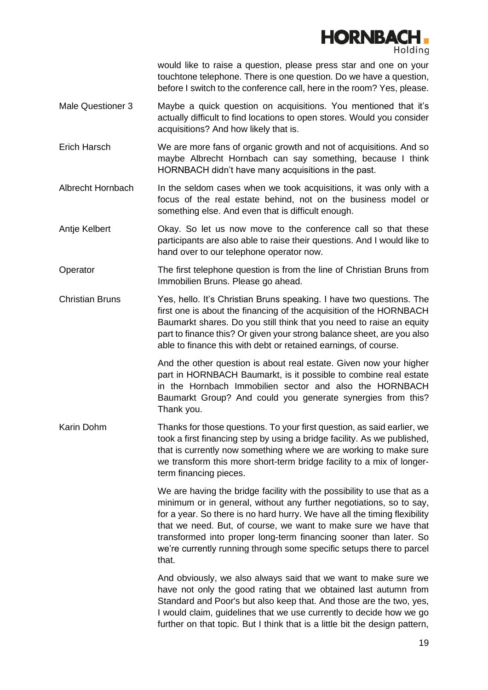

would like to raise a question, please press star and one on your touchtone telephone. There is one question. Do we have a question, before I switch to the conference call, here in the room? Yes, please.

- Male Questioner 3 Maybe a quick question on acquisitions. You mentioned that it's actually difficult to find locations to open stores. Would you consider acquisitions? And how likely that is.
- Erich Harsch We are more fans of organic growth and not of acquisitions. And so maybe Albrecht Hornbach can say something, because I think HORNBACH didn't have many acquisitions in the past.
- Albrecht Hornbach In the seldom cases when we took acquisitions, it was only with a focus of the real estate behind, not on the business model or something else. And even that is difficult enough.
- Antje Kelbert Okay. So let us now move to the conference call so that these participants are also able to raise their questions. And I would like to hand over to our telephone operator now.
- Operator The first telephone question is from the line of Christian Bruns from Immobilien Bruns. Please go ahead.
- Christian Bruns Yes, hello. It's Christian Bruns speaking. I have two questions. The first one is about the financing of the acquisition of the HORNBACH Baumarkt shares. Do you still think that you need to raise an equity part to finance this? Or given your strong balance sheet, are you also able to finance this with debt or retained earnings, of course.

And the other question is about real estate. Given now your higher part in HORNBACH Baumarkt, is it possible to combine real estate in the Hornbach Immobilien sector and also the HORNBACH Baumarkt Group? And could you generate synergies from this? Thank you.

Karin Dohm Thanks for those questions. To your first question, as said earlier, we took a first financing step by using a bridge facility. As we published, that is currently now something where we are working to make sure we transform this more short-term bridge facility to a mix of longerterm financing pieces.

> We are having the bridge facility with the possibility to use that as a minimum or in general, without any further negotiations, so to say, for a year. So there is no hard hurry. We have all the timing flexibility that we need. But, of course, we want to make sure we have that transformed into proper long-term financing sooner than later. So we're currently running through some specific setups there to parcel that.

> And obviously, we also always said that we want to make sure we have not only the good rating that we obtained last autumn from Standard and Poor's but also keep that. And those are the two, yes, I would claim, guidelines that we use currently to decide how we go further on that topic. But I think that is a little bit the design pattern,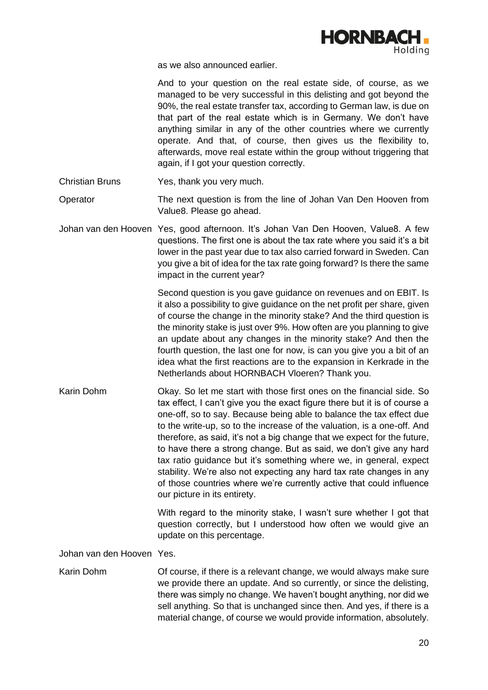

as we also announced earlier.

And to your question on the real estate side, of course, as we managed to be very successful in this delisting and got beyond the 90%, the real estate transfer tax, according to German law, is due on that part of the real estate which is in Germany. We don't have anything similar in any of the other countries where we currently operate. And that, of course, then gives us the flexibility to, afterwards, move real estate within the group without triggering that again, if I got your question correctly.

Christian Bruns Yes, thank you very much.

Operator The next question is from the line of Johan Van Den Hooven from Value8. Please go ahead.

Johan van den Hooven Yes, good afternoon. It's Johan Van Den Hooven, Value8. A few questions. The first one is about the tax rate where you said it's a bit lower in the past year due to tax also carried forward in Sweden. Can you give a bit of idea for the tax rate going forward? Is there the same impact in the current year?

> Second question is you gave guidance on revenues and on EBIT. Is it also a possibility to give guidance on the net profit per share, given of course the change in the minority stake? And the third question is the minority stake is just over 9%. How often are you planning to give an update about any changes in the minority stake? And then the fourth question, the last one for now, is can you give you a bit of an idea what the first reactions are to the expansion in Kerkrade in the Netherlands about HORNBACH Vloeren? Thank you.

Karin Dohm Okay. So let me start with those first ones on the financial side. So tax effect, I can't give you the exact figure there but it is of course a one-off, so to say. Because being able to balance the tax effect due to the write-up, so to the increase of the valuation, is a one-off. And therefore, as said, it's not a big change that we expect for the future, to have there a strong change. But as said, we don't give any hard tax ratio guidance but it's something where we, in general, expect stability. We're also not expecting any hard tax rate changes in any of those countries where we're currently active that could influence our picture in its entirety.

> With regard to the minority stake, I wasn't sure whether I got that question correctly, but I understood how often we would give an update on this percentage.

Johan van den Hooven Yes.

Karin Dohm Of course, if there is a relevant change, we would always make sure we provide there an update. And so currently, or since the delisting, there was simply no change. We haven't bought anything, nor did we sell anything. So that is unchanged since then. And yes, if there is a material change, of course we would provide information, absolutely.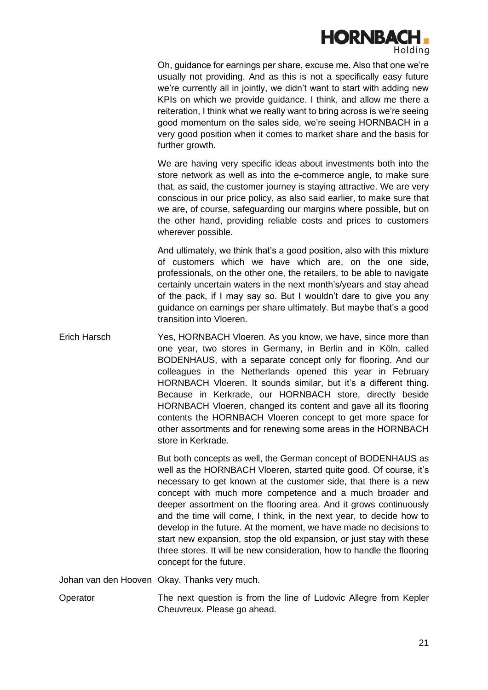

Oh, guidance for earnings per share, excuse me. Also that one we're usually not providing. And as this is not a specifically easy future we're currently all in jointly, we didn't want to start with adding new KPIs on which we provide guidance. I think, and allow me there a reiteration, I think what we really want to bring across is we're seeing good momentum on the sales side, we're seeing HORNBACH in a very good position when it comes to market share and the basis for further growth.

We are having very specific ideas about investments both into the store network as well as into the e-commerce angle, to make sure that, as said, the customer journey is staying attractive. We are very conscious in our price policy, as also said earlier, to make sure that we are, of course, safeguarding our margins where possible, but on the other hand, providing reliable costs and prices to customers wherever possible.

And ultimately, we think that's a good position, also with this mixture of customers which we have which are, on the one side, professionals, on the other one, the retailers, to be able to navigate certainly uncertain waters in the next month's/years and stay ahead of the pack, if I may say so. But I wouldn't dare to give you any guidance on earnings per share ultimately. But maybe that's a good transition into Vloeren.

Erich Harsch Yes, HORNBACH Vloeren. As you know, we have, since more than one year, two stores in Germany, in Berlin and in Köln, called BODENHAUS, with a separate concept only for flooring. And our colleagues in the Netherlands opened this year in February HORNBACH Vloeren. It sounds similar, but it's a different thing. Because in Kerkrade, our HORNBACH store, directly beside HORNBACH Vloeren, changed its content and gave all its flooring contents the HORNBACH Vloeren concept to get more space for other assortments and for renewing some areas in the HORNBACH store in Kerkrade.

> But both concepts as well, the German concept of BODENHAUS as well as the HORNBACH Vloeren, started quite good. Of course, it's necessary to get known at the customer side, that there is a new concept with much more competence and a much broader and deeper assortment on the flooring area. And it grows continuously and the time will come, I think, in the next year, to decide how to develop in the future. At the moment, we have made no decisions to start new expansion, stop the old expansion, or just stay with these three stores. It will be new consideration, how to handle the flooring concept for the future.

Johan van den Hooven Okay. Thanks very much.

Operator The next question is from the line of Ludovic Allegre from Kepler Cheuvreux. Please go ahead.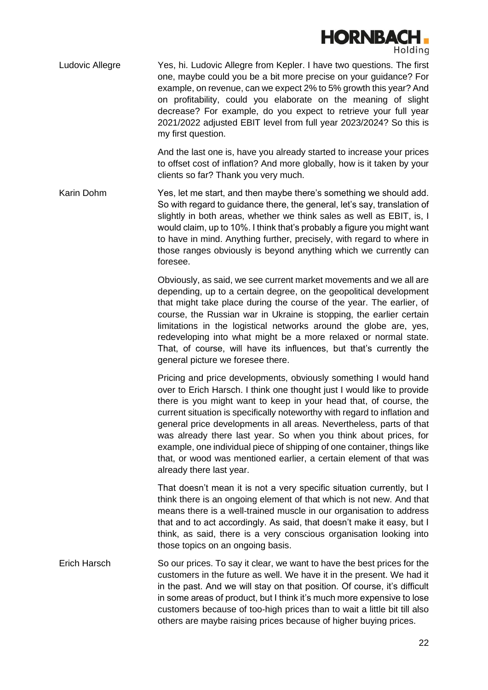

Ludovic Allegre Yes, hi. Ludovic Allegre from Kepler. I have two questions. The first one, maybe could you be a bit more precise on your guidance? For example, on revenue, can we expect 2% to 5% growth this year? And on profitability, could you elaborate on the meaning of slight decrease? For example, do you expect to retrieve your full year 2021/2022 adjusted EBIT level from full year 2023/2024? So this is my first question.

> And the last one is, have you already started to increase your prices to offset cost of inflation? And more globally, how is it taken by your clients so far? Thank you very much.

Karin Dohm Yes, let me start, and then maybe there's something we should add. So with regard to guidance there, the general, let's say, translation of slightly in both areas, whether we think sales as well as EBIT, is, I would claim, up to 10%. I think that's probably a figure you might want to have in mind. Anything further, precisely, with regard to where in those ranges obviously is beyond anything which we currently can foresee.

> Obviously, as said, we see current market movements and we all are depending, up to a certain degree, on the geopolitical development that might take place during the course of the year. The earlier, of course, the Russian war in Ukraine is stopping, the earlier certain limitations in the logistical networks around the globe are, yes, redeveloping into what might be a more relaxed or normal state. That, of course, will have its influences, but that's currently the general picture we foresee there.

> Pricing and price developments, obviously something I would hand over to Erich Harsch. I think one thought just I would like to provide there is you might want to keep in your head that, of course, the current situation is specifically noteworthy with regard to inflation and general price developments in all areas. Nevertheless, parts of that was already there last year. So when you think about prices, for example, one individual piece of shipping of one container, things like that, or wood was mentioned earlier, a certain element of that was already there last year.

> That doesn't mean it is not a very specific situation currently, but I think there is an ongoing element of that which is not new. And that means there is a well-trained muscle in our organisation to address that and to act accordingly. As said, that doesn't make it easy, but I think, as said, there is a very conscious organisation looking into those topics on an ongoing basis.

Erich Harsch So our prices. To say it clear, we want to have the best prices for the customers in the future as well. We have it in the present. We had it in the past. And we will stay on that position. Of course, it's difficult in some areas of product, but I think it's much more expensive to lose customers because of too-high prices than to wait a little bit till also others are maybe raising prices because of higher buying prices.